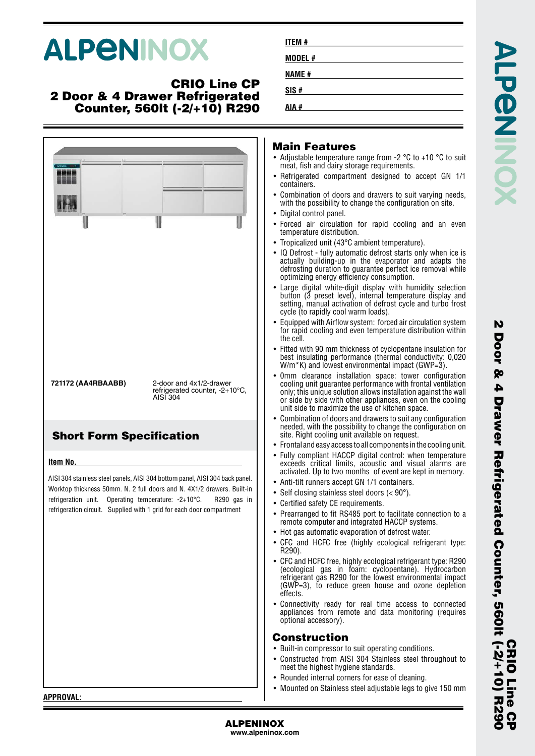# **ALPENINOX**

### **CRIO Line CP 2 Door & 4 Drawer Refrigerated Counter, 560lt (-2/+10) R290**

| U                                                                                                                                                                                                                                                      | I                               |                                                           | U           | Mai<br>$\bullet$ Adju<br>meat<br>$\bullet$ Refri<br>cont<br>• Com<br>with<br>• Digit<br>$\bullet$ Forc<br>temp                                                                                                              |
|--------------------------------------------------------------------------------------------------------------------------------------------------------------------------------------------------------------------------------------------------------|---------------------------------|-----------------------------------------------------------|-------------|-----------------------------------------------------------------------------------------------------------------------------------------------------------------------------------------------------------------------------|
| 721172 (AA4RBAABB)                                                                                                                                                                                                                                     | AISI 304                        | 2-door and 4x1/2-drawer<br>refrigerated counter, -2+10°C, |             | $\bullet$ Trop<br>$\bullet$ IQ D<br>actu<br>defro<br>optir<br>Larg<br>butto<br>setti<br>cycle<br>• Equi<br>for r<br>the c<br>Fitte<br>best<br>W/m<br>. Omn<br>cooli<br>only<br>or si<br>unit<br>• Com                       |
| <b>Short Form Specification</b>                                                                                                                                                                                                                        |                                 |                                                           |             | need<br>site.<br>$\bullet$ Fron                                                                                                                                                                                             |
| Item No.                                                                                                                                                                                                                                               |                                 |                                                           |             | $\bullet$ Fully<br>exce                                                                                                                                                                                                     |
| AISI 304 stainless steel panels, AISI 304 bottom panel, AISI 304 back panel.<br>Worktop thickness 50mm. N. 2 full doors and N. 4X1/2 drawers. Built-in<br>refrigeration unit.<br>refrigeration circuit. Supplied with 1 grid for each door compartment | Operating temperature: -2+10°C. |                                                           | R290 gas in | activ<br>• Anti-<br>$\bullet$ Self<br>• Certi<br>• Prea<br>remo<br>$\bullet\,$ Hot $\mathfrak g$<br>$\bullet$ CFC<br>R <sub>29</sub><br><b>CFC</b><br>$\bullet$<br>(eco<br>refrig<br>(GW<br>effec<br>Conr<br>appli<br>optic |
|                                                                                                                                                                                                                                                        |                                 |                                                           |             | Con<br><b>Built</b><br>Cons<br>$\bullet$<br>mee<br>Rou<br>$M$ <sup>011</sup>                                                                                                                                                |

| ITEM #  |  |
|---------|--|
| MODEL # |  |
| NAME #  |  |
| SIS #   |  |
| # AIA   |  |
|         |  |

#### **n Features**

**AIA #**

- istable temperature range from -2  $^{\circ}$ C to +10  $^{\circ}$ C to suit t, fish and dairy storage requirements.
- igerated compartment designed to accept GN 1/1 ainers.
- Ibination of doors and drawers to suit varying needs, the possibility to change the configuration on site.
- tal control panel.
- ed air circulation for rapid cooling and an even perature distribution.
- icalized unit (43°C ambient temperature).
- lefrost fully automatic defrost starts only when ice is ally building-up in the evaporator and adapts the osting duration to guarantee perfect ice removal while mizing energy efficiency consumption.
- Large digital white-digit display with humidity selection button (3 preset level), internal temperature display and ng, manual activation of defrost cycle and turbo frost e (to rapidly cool warm loads).
- ipped with Airflow system: forced air circulation system for rapid cooling and even temperature distribution within the cell.
- d with 90 mm thickness of cyclopentane insulation for insulating performance (thermal conductivity: 0,020  $*$ K) and lowest environmental impact (GWP=3).
- n clearance installation space: tower configuration cooling unit guarantee performance with frontal ventilation this unique solution allows installation against the wall ide by side with other appliances, even on the cooling side to maximize the use of kitchen space.
- Ibination of doors and drawers to suit any configuration led, with the possibility to change the configuration on Right cooling unit available on request.
- tal and easy access to all components in the cooling unit.
- compliant HACCP digital control: when temperature eds critical limits, acoustic and visual alarms are vated. Up to two months of event are kept in memory.
- -tilt runners accept GN 1/1 containers.
- closing stainless steel doors  $(< 90^{\circ})$ .
- ified safety CE requirements.
- rranged to fit RS485 port to facilitate connection to a ote computer and integrated HACCP systems.
- gas automatic evaporation of defrost water.
- and HCFC free (highly ecological refrigerant type: 0).
- and HCFC free, highly ecological refrigerant type: R290 logical gas in foam: cyclopentane). Hydrocarbon refrigerant gas R290 for the lowest environmental impact  $\widetilde{P}=3$ ), to reduce green house and ozone depletion  $2ts$
- nectivity ready for real time access to connected iances from remote and data monitoring (requires onal accessory).

#### **Construction**

- t-in compressor to suit operating conditions.
- structed from AISI 304 Stainless steel throughout to t the highest hygiene standards.
- nded internal corners for ease of cleaning.
- •Mounted on Stainless steel adjustable legs to give 150 mm

N

**APPROVAL:**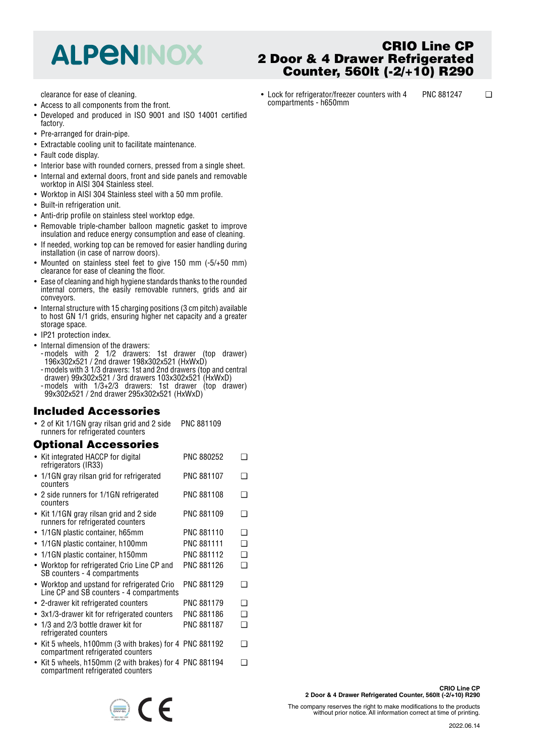## **ALPENINOX**

clearance for ease of cleaning.

- Access to all components from the front.
- • Developed and produced in ISO 9001 and ISO 14001 certified factory.
- Pre-arranged for drain-pipe.
- Extractable cooling unit to facilitate maintenance.
- Fault code display.
- Interior base with rounded corners, pressed from a single sheet.
- • Internal and external doors, front and side panels and removable worktop in AISI 304 Stainless steel.
- Worktop in AISI 304 Stainless steel with a 50 mm profile.
- Built-in refrigeration unit.
- Anti-drip profile on stainless steel worktop edge.
- Removable triple-chamber balloon magnetic gasket to improve insulation and reduce energy consumption and ease of cleaning.
- If needed, working top can be removed for easier handling during installation (in case of narrow doors).
- Mounted on stainless steel feet to give 150 mm (-5/+50 mm) clearance for ease of cleaning the floor.
- Ease of cleaning and high hygiene standards thanks to the rounded internal corners, the easily removable runners, grids and air conveyors.
- Internal structure with 15 charging positions (3 cm pitch) available to host GN 1/1 grids, ensuring higher net capacity and a greater storage space.
- IP21 protection index.
- Internal dimension of the drawers:
- -models with 2 1/2 drawers: 1st drawer (top drawer) 196x302x521 / 2nd drawer 198x302x521 (HxWxD) -models with 3 1/3 drawers: 1st and 2nd drawers (top and central
- drawer) 99x302x521 / 3rd drawers 103x302x521 (HxWxD) -models with 1/3+2/3 drawers: 1st drawer (top drawer) 99x302x521 / 2nd drawer 295x302x521 (HxWxD)

#### **Included Accessories**

• 2 of Kit 1/1GN gray rilsan grid and 2 side runners for refrigerated counters PNC 881109

### **Optional Accessories**

| • Kit integrated HACCP for digital<br>refrigerators (IR33)                                   | <b>PNC 880252</b> | ∍ |
|----------------------------------------------------------------------------------------------|-------------------|---|
| • 1/1GN gray rilsan grid for refrigerated<br>counters                                        | <b>PNC 881107</b> | ∩ |
| • 2 side runners for 1/1GN refrigerated<br>counters                                          | <b>PNC 881108</b> | ∩ |
| • Kit 1/1GN gray rilsan grid and 2 side<br>runners for refrigerated counters                 | PNC 881109        |   |
| • 1/1GN plastic container, h65mm                                                             | <b>PNC 881110</b> | ∩ |
| • 1/1GN plastic container, h100mm                                                            | PNC 881111        | ∩ |
| 1/1GN plastic container, h150mm<br>$\bullet$                                                 | <b>PNC 881112</b> | ❏ |
| • Worktop for refrigerated Crio Line CP and<br>SB counters - 4 compartments                  | PNC 881126        | ∩ |
| • Worktop and upstand for refrigerated Crio<br>Line CP and SB counters - 4 compartments      | PNC 881129        | □ |
| • 2-drawer kit refrigerated counters                                                         | <b>PNC 881179</b> | ❏ |
| • 3x1/3-drawer kit for refrigerated counters                                                 | PNC 881186        | ◻ |
| 1/3 and 2/3 bottle drawer kit for<br>$\bullet$<br>refrigerated counters                      | <b>PNC 881187</b> | ∩ |
| • Kit 5 wheels, h100mm (3 with brakes) for 4 PNC 881192<br>compartment refrigerated counters |                   | ∩ |
| • Kit 5 wheels, h150mm (2 with brakes) for 4 PNC 881194                                      |                   |   |

•• Kit 5 wheels, h150mm (2 with brakes) for 4 compartment refrigerated counters

 $\epsilon$ 

## **CRIO Line CP 2 Door & 4 Drawer Refrigerated Counter, 560lt (-2/+10) R290**

• Lock for refrigerator/freezer counters with 4 compartments - h650mm PNC 881247 ❑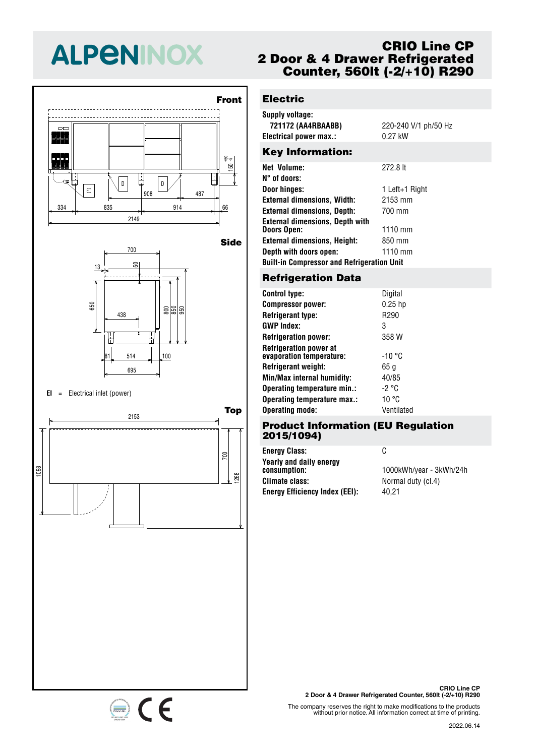# **ALPENINOX**





#### **EI** <sup>=</sup> Electrical inlet (power)

334 835 914 66 <sup>908</sup> <sup>487</sup> EI



## **CRIO Line CP 2 Door & 4 Drawer Refrigerated Counter, 560lt (-2/+10) R290**

## **Electric**

| Supply voltage:         |                       |
|-------------------------|-----------------------|
| 721172 (AA4RBAABB)      | 220-240 V/1 ph/50 Hz  |
| Electrical power max.:  | $0.27$ kW             |
| <b>Key Information:</b> |                       |
| <b>Net Volume:</b>      | 272.8 lt              |
| $N^{\circ}$ of doors:   |                       |
| Daar kingaar            | + ۱ مهربر + + + + + + |

| Door hinges:                                      | 1 Left+1 Right |
|---------------------------------------------------|----------------|
| <b>External dimensions, Width:</b>                | 2153 mm        |
| <b>External dimensions, Depth:</b>                | 700 mm         |
| <b>External dimensions, Depth with</b>            |                |
| <b>Doors Open:</b>                                | $1110$ mm      |
| <b>External dimensions, Height:</b>               | 850 mm         |
| Depth with doors open:                            | $1110$ mm      |
| <b>Built-in Compressor and Refrigeration Unit</b> |                |

## 50 13 **Refrigeration Data**

| <b>Control type:</b>                                      | Digital          |
|-----------------------------------------------------------|------------------|
| <b>Compressor power:</b>                                  | $0.25$ hp        |
| <b>Refrigerant type:</b>                                  | R <sub>290</sub> |
| <b>GWP Index:</b>                                         | 3                |
| <b>Refrigeration power:</b>                               | 358 W            |
| <b>Refrigeration power at</b><br>evaporation temperature: | -10 °C           |
| <b>Refrigerant weight:</b>                                | 65 a             |
| Min/Max internal humidity:                                | 40/85            |
| Operating temperature min.:                               | -2 °C            |
| Operating temperature max.:                               | 10 °C            |
| <b>Operating mode:</b>                                    | Ventilated       |
|                                                           |                  |

#### **Product Information (EU Regulation 2015/1094)**

| <b>Energy Class:</b>                    | C                       |
|-----------------------------------------|-------------------------|
| Yearly and daily energy<br>consumption: | 1000kWh/year - 3kWh/24h |
| Climate class:                          | Normal duty (cl.4)      |
| <b>Energy Efficiency Index (EEI):</b>   | 40.21                   |



The company reserves the right to make modifications to the products without prior notice. All information correct at time of printing.